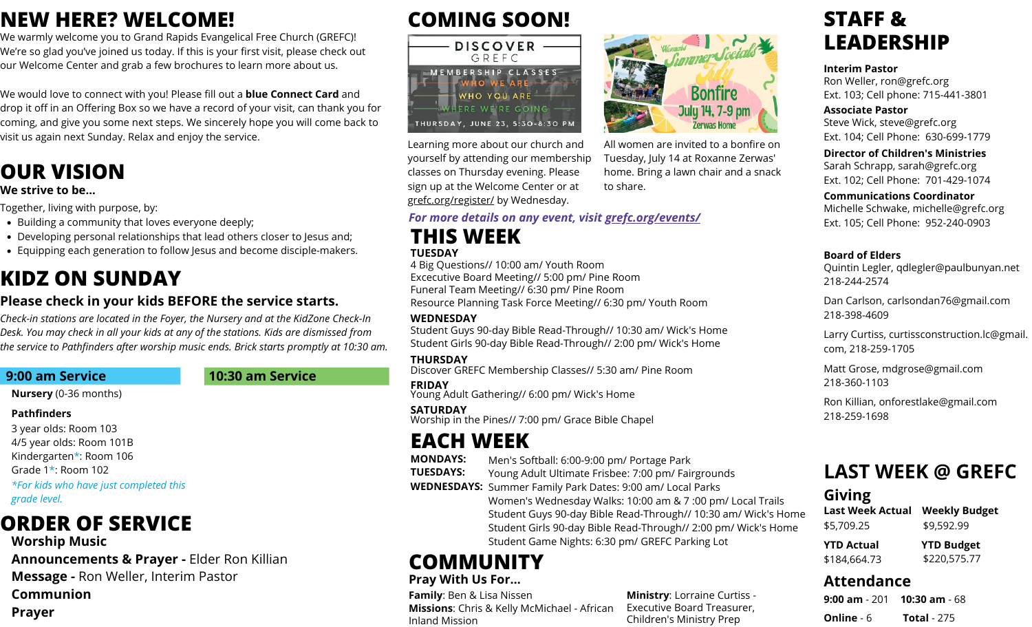### **NEW HERE? WELCOME!**

We warmly welcome you to Grand Rapids Evangelical Free Church (GREFC)! We're so glad you've joined us today. If this is your first visit, please check out our Welcome Center and grab a few brochures to learn more about us.

We would love to connect with you! Please fill out a **blue Connect Card** and drop it off in an Offering Box so we have a record of your visit, can thank you for coming, and give you some next steps. We sincerely hope you will come back to visit us again next Sunday. Relax and enjoy the service.

### **OUR VISION**

#### **We strive to be...**

Together, living with purpose, by:

- Building a community that loves everyone deeply;
- Developing personal relationships that lead others closer to Jesus and;
- Equipping each generation to follow Jesus and become disciple-makers.

### **KIDZ ON SUNDAY**

### **Please check in your kids BEFORE the service starts.**

*Check-in stations are located in the Foyer, the Nursery and at the KidZone Check-In Desk. You may check in all your kids at any of the stations. Kids are dismissed from the service to Pathfinders after worship music ends. Brick starts promptly at 10:30 am.*

### **9:00 am Service 10:30 am Service**

**Nursery** (0-36 months)

#### **Pathfinders**

- 3 year olds: Room 103
- 4/5 year olds: Room 101B
- Kindergarten\*: Room 106
- Grade 1\*: Room 102

*\*For kids who have just completed this grade level.*

# **ORDER OF SERVICE**

- **Worship Music**
- **Announcements & Prayer -** Elder Ron Killian
- **Message -** Ron Weller, Interim Pastor
- **Communion**
- **Prayer**

# **COMING SOON!**



Learning more about our church and yourself by attending our membership classes on Thursday evening. Please sign up at the Welcome Center or at grefc.org/register/ by Wednesday.

#### *For more details on any event, visit grefc.org/events/*

### **THIS WEEK TUESDAY**

4 Big Questions// 10:00 am/ Youth Room Excecutive Board Meeting// 5:00 pm/ Pine Room Funeral Team Meeting// 6:30 pm/ Pine Room Resource Planning Task Force Meeting// 6:30 pm/ Youth Room

#### **WEDNESDAY**

Student Guys 90-day Bible Read-Through// 10:30 am/ Wick's Home Student Girls 90-day Bible Read-Through// 2:00 pm/ Wick's Home

#### **THURSDAY**

Discover GREFC Membership Classes// 5:30 am/ Pine Room

#### **FRIDAY**

Young Adult Gathering// 6:00 pm/ Wick's Home

#### **SATURDAY**

Worship in the Pines// 7:00 pm/ Grace Bible Chapel

### **EACH WEEK**

**MONDAYS:** Men's Softball: 6:00-9:00 pm/ Portage Park

- **TUESDAYS:** Young Adult Ultimate Frisbee: 7:00 pm/ Fairgrounds
- **WEDNESDAYS:** Summer Family Park Dates: 9:00 am/ Local Parks
	- Women's Wednesday Walks: 10:00 am & 7 :00 pm/ Local Trails Student Game Nights: 6:30 pm/ GREFC Parking Lot Student Guys 90-day Bible Read-Through// 10:30 am/ Wick's Home Student Girls 90-day Bible Read-Through// 2:00 pm/ Wick's Home

**Ministry**: Lorraine Curtiss - Executive Board Treasurer, Children's Ministry Prep

## **COMMUNITY**

### **Pray With Us For…**

**Family**: Ben & Lisa Nissen **Missions**: Chris & Kelly McMichael - African Inland Mission



Tuesday, July 14 at Roxanne Zerwas' home. Bring a lawn chair and a snack to share.

### Sarah Schrapp, sarah@grefc.org Ext. 102; Cell Phone: 701-429-1074

Ext. 104; Cell Phone: 630-699-1779 **Director of Children's Ministries**

Ext. 103; Cell phone: 715-441-3801

**Communications Coordinator** Michelle Schwake, michelle@grefc.org Ext. 105; Cell Phone: 952-240-0903

#### **Board of Elders**

**STAFF &**

**Interim Pastor**

**Associate Pastor**

**LEADERSHIP**

Ron Weller, ron@grefc.org

Steve Wick, steve@grefc.org

Quintin Legler, qdlegler@paulbunyan.net 218-244-2574

Dan Carlson, carlsondan76@gmail.com 218-398-4609

Larry Curtiss, curtissconstruction.lc@gmail. com, 218-259-1705

Matt Grose, mdgrose@gmail.com 218-360-1103

Ron Killian, onforestlake@gmail.com 218-259-1698

## **LAST WEEK @ GREFC**

### **Giving**

| Last Week Actual | <b>Weekly Budget</b> |
|------------------|----------------------|
| \$5,709.25       | \$9,592.99           |
| YTD Actual       | <b>YTD Budget</b>    |
| \$184,664.73     | \$220,575.77         |

### **Attendance**

|                   | <b>9:00 am</b> - 201 <b>10:30 am</b> - 68 |
|-------------------|-------------------------------------------|
| <b>Online</b> - 6 | <b>Total - 275</b>                        |